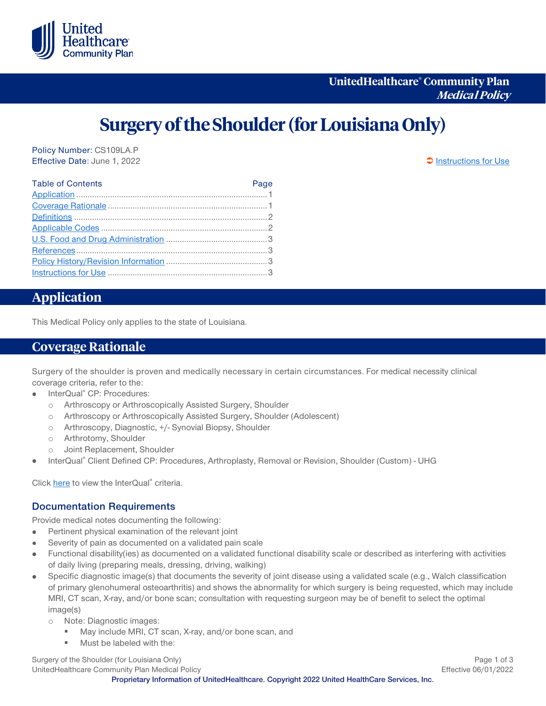

# **Surgery of the Shoulder (for Louisiana Only)**

Policy Number: CS109LA.P Effective Date: June 1, 2022 **[Instructions for Use](#page-2-0)** 

| <b>Table of Contents</b> | Page |
|--------------------------|------|
|                          |      |
|                          |      |
|                          |      |
|                          |      |
|                          |      |
|                          |      |
|                          |      |
|                          |      |

# <span id="page-0-0"></span>**Application**

This Medical Policy only applies to the state of Louisiana.

## <span id="page-0-1"></span>**Coverage Rationale**

Surgery of the shoulder is proven and medically necessary in certain circumstances. For medical necessity clinical coverage criteria, refer to the:

- InterQual® CP: Procedures:  $\bullet$ 
	- o Arthroscopy or Arthroscopically Assisted Surgery, Shoulder
	- o Arthroscopy or Arthroscopically Assisted Surgery, Shoulder (Adolescent)
	- o Arthroscopy, Diagnostic, +/- Synovial Biopsy, Shoulder
	- o Arthrotomy, Shoulder
	- o Joint Replacement, Shoulder
- InterQual® Client Defined CP: Procedures, Arthroplasty, Removal or Revision, Shoulder (Custom) UHG

Clic[k here](https://www.uhcprovider.com/content/provider/en/policies-protocols/sec_interqual-clinical-criteria.html) to view the InterQual® criteria.

#### **Documentation Requirements**

Provide medical notes documenting the following:

- Pertinent physical examination of the relevant joint  $\bullet$
- Severity of pain as documented on a validated pain scale
- Functional disability(ies) as documented on a validated functional disability scale or described as interfering with activities of daily living (preparing meals, dressing, driving, walking)
- Specific diagnostic image(s) that documents the severity of joint disease using a validated scale (e.g., Walch classification of primary glenohumeral osteoarthritis) and shows the abnormality for which surgery is being requested, which may include MRI, CT scan, X-ray, and/or bone scan; consultation with requesting surgeon may be of benefit to select the optimal image(s)
	- o Note: Diagnostic images:
		- **May include MRI, CT scan, X-ray, and/or bone scan, and**
		- **Must be labeled with the:**

Surgery of the Shoulder (for Louisiana Only) **Page 1 of 3** and 2012 1 of 3 UnitedHealthcare Community Plan Medical Policy **Effective 06/01/2022** 

**Proprietary Information of UnitedHealthcare. Copyright 2022 United HealthCare Services, Inc.**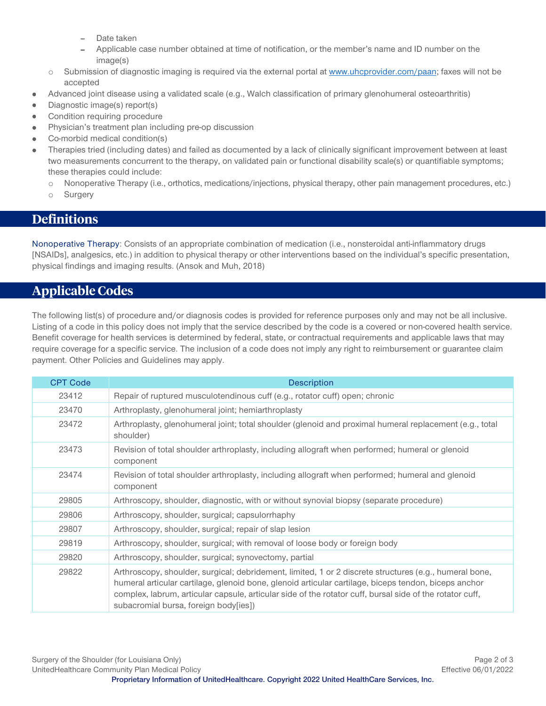- Date taken
- Applicable case number obtained at time of notification, or the member's name and ID number on the image(s)
- $\circ$  Submission of diagnostic imaging is required via the external portal at [www.uhcprovider.com/paan;](http://www.uhcprovider.com/paan) faxes will not be accepted
- Advanced joint disease using a validated scale (e.g., Walch classification of primary glenohumeral osteoarthritis)
- Diagnostic image(s) report(s) ò
- Condition requiring procedure ò
- Physician's treatment plan including pre-op discussion
- Co-morbid medical condition(s)
- Therapies tried (including dates) and failed as documented by a lack of clinically significant improvement between at least two measurements concurrent to the therapy, on validated pain or functional disability scale(s) or quantifiable symptoms; these therapies could include:
	- o Nonoperative Therapy (i.e., orthotics, medications/injections, physical therapy, other pain management procedures, etc.)
	- o Surgery

# <span id="page-1-0"></span>**Definitions**

Nonoperative Therapy: Consists of an appropriate combination of medication (i.e., nonsteroidal anti-inflammatory drugs [NSAIDs], analgesics, etc.) in addition to physical therapy or other interventions based on the individual's specific presentation, physical findings and imaging results. (Ansok and Muh, 2018)

# <span id="page-1-1"></span>**Applicable Codes**

The following list(s) of procedure and/or diagnosis codes is provided for reference purposes only and may not be all inclusive. Listing of a code in this policy does not imply that the service described by the code is a covered or non-covered health service. Benefit coverage for health services is determined by federal, state, or contractual requirements and applicable laws that may require coverage for a specific service. The inclusion of a code does not imply any right to reimbursement or guarantee claim payment. Other Policies and Guidelines may apply.

| <b>CPT Code</b> | <b>Description</b>                                                                                                                                                                                                                                                                                                                                                  |
|-----------------|---------------------------------------------------------------------------------------------------------------------------------------------------------------------------------------------------------------------------------------------------------------------------------------------------------------------------------------------------------------------|
| 23412           | Repair of ruptured musculotendinous cuff (e.g., rotator cuff) open; chronic                                                                                                                                                                                                                                                                                         |
| 23470           | Arthroplasty, glenohumeral joint; hemiarthroplasty                                                                                                                                                                                                                                                                                                                  |
| 23472           | Arthroplasty, glenohumeral joint; total shoulder (glenoid and proximal humeral replacement (e.g., total<br>shoulder)                                                                                                                                                                                                                                                |
| 23473           | Revision of total shoulder arthroplasty, including allograft when performed; humeral or glenoid<br>component                                                                                                                                                                                                                                                        |
| 23474           | Revision of total shoulder arthroplasty, including allograft when performed; humeral and glenoid<br>component                                                                                                                                                                                                                                                       |
| 29805           | Arthroscopy, shoulder, diagnostic, with or without synovial biopsy (separate procedure)                                                                                                                                                                                                                                                                             |
| 29806           | Arthroscopy, shoulder, surgical; capsulorrhaphy                                                                                                                                                                                                                                                                                                                     |
| 29807           | Arthroscopy, shoulder, surgical; repair of slap lesion                                                                                                                                                                                                                                                                                                              |
| 29819           | Arthroscopy, shoulder, surgical; with removal of loose body or foreign body                                                                                                                                                                                                                                                                                         |
| 29820           | Arthroscopy, shoulder, surgical; synovectomy, partial                                                                                                                                                                                                                                                                                                               |
| 29822           | Arthroscopy, shoulder, surgical; debridement, limited, 1 or 2 discrete structures (e.g., humeral bone,<br>humeral articular cartilage, glenoid bone, glenoid articular cartilage, biceps tendon, biceps anchor<br>complex, labrum, articular capsule, articular side of the rotator cuff, bursal side of the rotator cuff,<br>subacromial bursa, foreign body[ies]) |